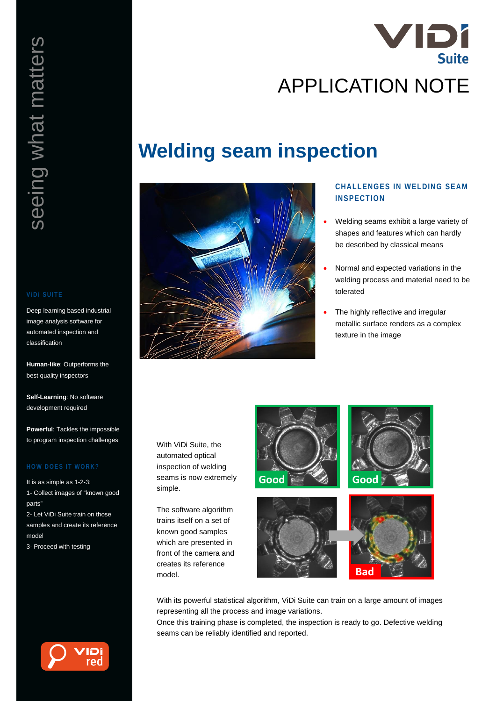

# seeing what matters seeing what matters

Deep learning based industrial image analysis software for automated inspection and classification

**Human-like**: Outperforms the best quality inspectors

**Self-Learning**: No software development required

**Powerful**: Tackles the impossible to program inspection challenges

It is as simple as 1-2-3: 1- Collect images of "known good parts"

2- Let ViDi Suite train on those samples and create its reference model

3- Proceed with testing



# **Welding seam inspection**



# **CHALLENGES IN WELDING SEAM INSPECTION**

- Welding seams exhibit a large variety of shapes and features which can hardly be described by classical means
- Normal and expected variations in the welding process and material need to be tolerated
- The highly reflective and irregular metallic surface renders as a complex texture in the image

With ViDi Suite, the automated optical inspection of welding seams is now extremely simple.

The software algorithm trains itself on a set of known good samples which are presented in front of the camera and creates its reference model.



With its powerful statistical algorithm, ViDi Suite can train on a large amount of images representing all the process and image variations.

Once this training phase is completed, the inspection is ready to go. Defective welding seams can be reliably identified and reported.